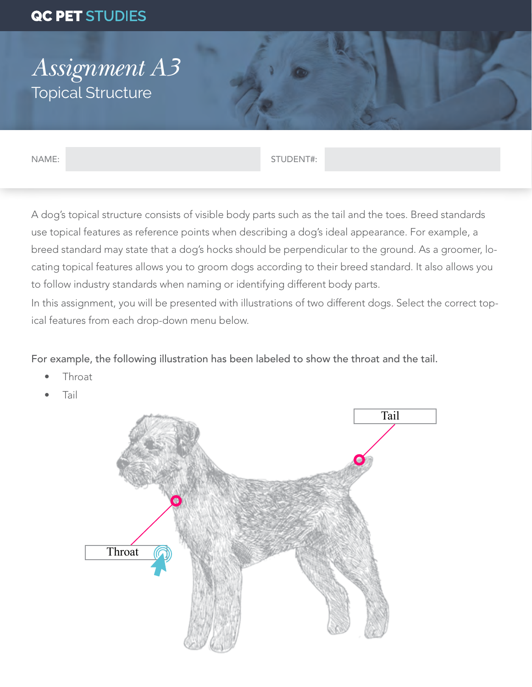## QC PET STUDIES

## *Assignment A3* Topical Structure

NAME: STUDENT#:

A dog's topical structure consists of visible body parts such as the tail and the toes. Breed standards use topical features as reference points when describing a dog's ideal appearance. For example, a breed standard may state that a dog's hocks should be perpendicular to the ground. As a groomer, locating topical features allows you to groom dogs according to their breed standard. It also allows you to follow industry standards when naming or identifying different body parts.

In this assignment, you will be presented with illustrations of two different dogs. Select the correct topical features from each drop-down menu below.

For example, the following illustration has been labeled to show the throat and the tail.

- **Throat**
- Tail

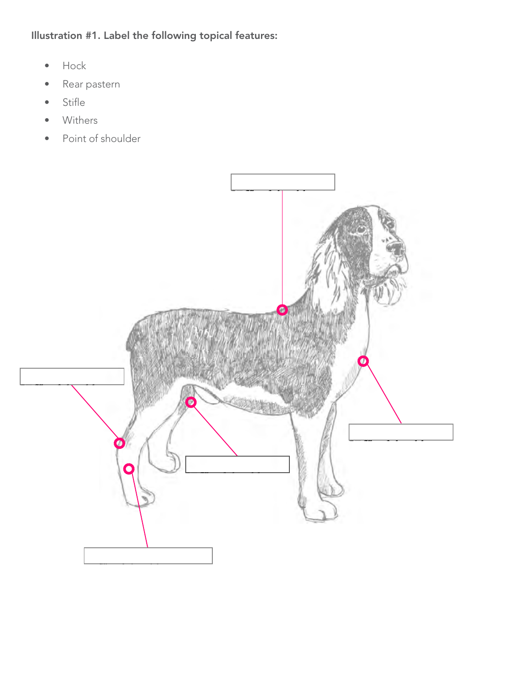Illustration #1. Label the following topical features:

- Hock
- Rear pastern
- Stifle
- Withers
- Point of shoulder